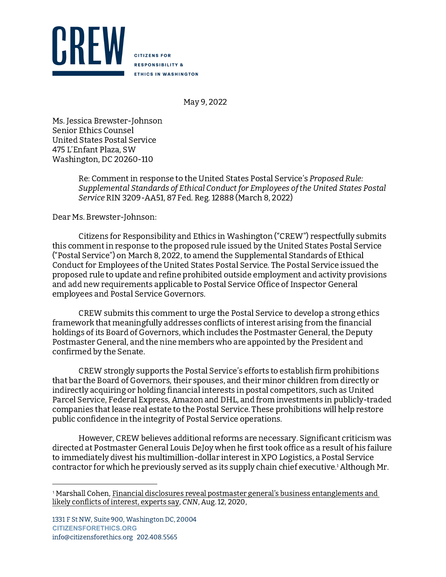

**CITIZENS FOR RESPONSIBILITY & ETHICS IN WASHINGTON** 

May 9, 2022

Ms. Jessica Brewster-Johnson Senior Ethics Counsel United States Postal Service 475 L'Enfant Plaza, SW Washington, DC 20260-110

> Re: Comment in response to the United States Postal Service's Proposed Rule: Supplemental Standards of Ethical Conduct for Employees of the United States Postal Service RIN 3209-AA51, 87 Fed. Reg. 12888 (March 8, 2022)

Dear Ms. Brewster-Johnson:

Citizens for Responsibility and Ethics in Washington ("CREW") respectfully submits this comment in response to the proposed rule issued by the United States Postal Service ("Postal Service") on March 8, 2022, to amend the Supplemental Standards of Ethical Conduct for Employees of the United States Postal Service. The Postal Service issued the proposed rule to update and refine prohibited outside employment and activity provisions and add new requirements applicable to Postal Service Office of Inspector General employees and Postal Service Governors.

CREW submits this comment to urge the Postal Service to develop a strong ethics framework that meaningfully addresses conflicts of interest arising from the financial holdings of its Board of Governors, which includes the Postmaster General, the Deputy Postmaster General, and the nine members who are appointed by the President and confirmed by the Senate.

CREW strongly supports the Postal Service's efforts to establish firm prohibitions that bar the Board of Governors, their spouses, and their minor children from directly or indirectly acquiring or holding financial interests in postal competitors, such as United Parcel Service, Federal Express, Amazon and DHL, and from investments in publicly-traded companies that lease real estate to the Postal Service. These prohibitions will help restore public confidence in the integrity of Postal Service operations.

However, CREW believes additional reforms are necessary. Significant criticism was directed at Postmaster General Louis DeJoy when he first took office as a result of his failure to immediately divest his multimillion-dollar interest in XPO Logistics, a Postal Service contractor for which he previously served as its supply chain chief executive. 1 Although Mr.

<sup>1</sup> Marshall Cohen, Financial disclosures reveal postmaster general's business entanglements and likely conflicts of interest, experts say, CNN, Aug. 12, 2020,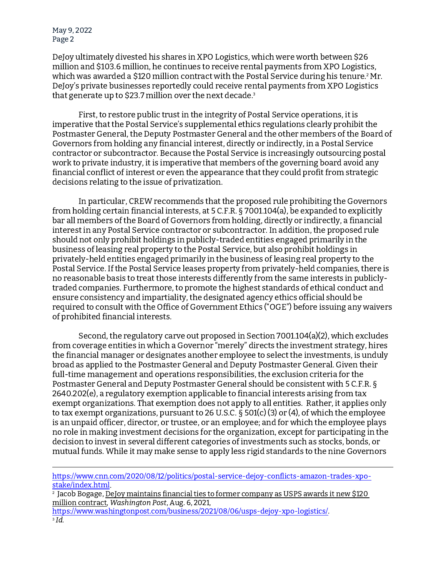May 9, 2022 Page 2

DeJoy ultimately divested his shares in XPO Logistics, which were worth between \$26 million and \$103.6 million, he continues to receive rental payments from XPO Logistics, which was awarded a \$120 million contract with the Postal Service during his tenure.<del>'</del> Mr. DeJoy's private businesses reportedly could receive rental payments from XPO Logistics that generate up to \$23.7 million over the next decade.<sup>3</sup>

First, to restore public trust in the integrity of Postal Service operations, it is imperative that the Postal Service's supplemental ethics regulations clearly prohibit the Postmaster General, the Deputy Postmaster General and the other members of the Board of Governors from holding any financial interest, directly or indirectly, in a Postal Service contractor or subcontractor. Because the Postal Service is increasingly outsourcing postal work to private industry, it is imperative that members of the governing board avoid any financial conflict of interest or even the appearance that they could profit from strategic decisions relating to the issue of privatization.

In particular, CREW recommends that the proposed rule prohibiting the Governors from holding certain financial interests, at 5 C.F.R. § 7001.104(a), be expanded to explicitly bar all members of the Board of Governors from holding, directly or indirectly, a financial interest in any Postal Service contractor or subcontractor. In addition, the proposed rule should not only prohibit holdings in publicly-traded entities engaged primarily in the business of leasing real property to the Postal Service, but also prohibit holdings in privately-held entities engaged primarily in the business of leasing real property to the Postal Service. If the Postal Service leases property from privately-held companies, there is no reasonable basis to treat those interests differently from the same interests in publiclytraded companies. Furthermore, to promote the highest standards of ethical conduct and ensure consistency and impartiality, the designated agency ethics official should be required to consult with the Office of Government Ethics ("OGE") before issuing any waivers of prohibited financial interests.

Second, the regulatory carve out proposed in Section 7001.104(a)(2), which excludes from coverage entities in which a Governor "merely" directs the investment strategy, hires the financial manager or designates another employee to select the investments, is unduly broad as applied to the Postmaster General and Deputy Postmaster General. Given their full-time management and operations responsibilities, the exclusion criteria for the Postmaster General and Deputy Postmaster General should be consistent with 5 C.F.R. § 2640.202(e), a regulatory exemption applicable to financial interests arising from tax exempt organizations. That exemption does not apply to all entities. Rather, it applies only to tax exempt organizations, pursuant to 26 U.S.C. § 501(c) (3) or (4), of which the employee is an unpaid officer, director, or trustee, or an employee; and for which the employee plays no role in making investment decisions for the organization, except for participating in the decision to invest in several different categories of investments such as stocks, bonds, or mutual funds. While it may make sense to apply less rigid standards to the nine Governors

https://www.cnn.com/2020/08/12/politics/postal-service-dejoy-conflicts-amazon-trades-xpostake/index.html.

2 Jacob Bogage, DeJoy maintains financial ties to former company as USPS awards it new \$120 million contract, Washington Post, Aug. 6, 2021,<br>https://www.washingtonpost.com/business/2021/08/06/usps-dejoy-xpo-logistics/.

<sup>3</sup> Id.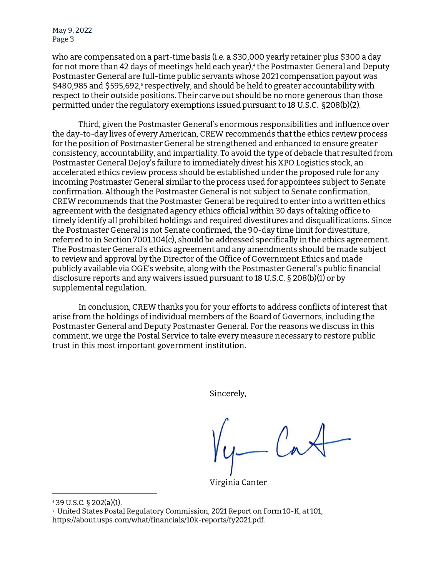May 9, 2022 Page 3

who are compensated on a part-time basis (i.e. a \$30,000 yearly retainer plus \$300 a day for not more than 42 days of meetings held each year),<del>'</del> the Postmaster General and Deputy Postmaster General are full-time public servants whose 2021 compensation payout was \$480,985 and \$595,692,<sup>s</sup> respectively, and should be held to greater accountability with respect to their outside positions. Their carve out should be no more generous than those permitted under the regulatory exemptions issued pursuant to 18 U.S.C. §208(b)(2).

Third, given the Postmaster General's enormous responsibilities and influence over the day-to-day lives of every American, CREW recommends that the ethics review process for the position of Postmaster General be strengthened and enhanced to ensure greater consistency, accountability, and impartiality. To avoid the type of debacle that resulted from Postmaster General DeJoy's failure to immediately divest his XPO Logistics stock, an accelerated ethics review process should be established under the proposed rule for any incoming Postmaster General similar to the process used for appointees subject to Senate confirmation. Although the Postmaster General is not subject to Senate confirmation, CREW recommends that the Postmaster General be required to enter into a written ethics agreement with the designated agency ethics official within 30 days of taking office to timely identify all prohibited holdings and required divestitures and disqualifications. Since the Postmaster General is not Senate confirmed, the 90-day time limit for divestiture, referred to in Section 7001.104(c), should be addressed specifically in the ethics agreement. The Postmaster General's ethics agreement and any amendments should be made subject to review and approval by the Director of the Office of Government Ethics and made publicly available via OGE's website, along with the Postmaster General's public financial disclosure reports and any waivers issued pursuant to 18 U.S.C. § 208(b)(1) or by supplemental regulation.

In conclusion, CREW thanks you for your efforts to address conflicts of interest that arise from the holdings of individual members of the Board of Governors, including the Postmaster General and Deputy Postmaster General. For the reasons we discuss in this comment, we urge the Postal Service to take every measure necessary to restore public trust in this most important government institution.

Sincerely,

Virginia Canter

<sup>4</sup> 39 U.S.C. § 202(a)(1).

<sup>5</sup> United States Postal Regulatory Commission, 2021 Report on Form 10-K, at 101, https://about.usps.com/what/financials/10k-reports/fy2021.pdf.